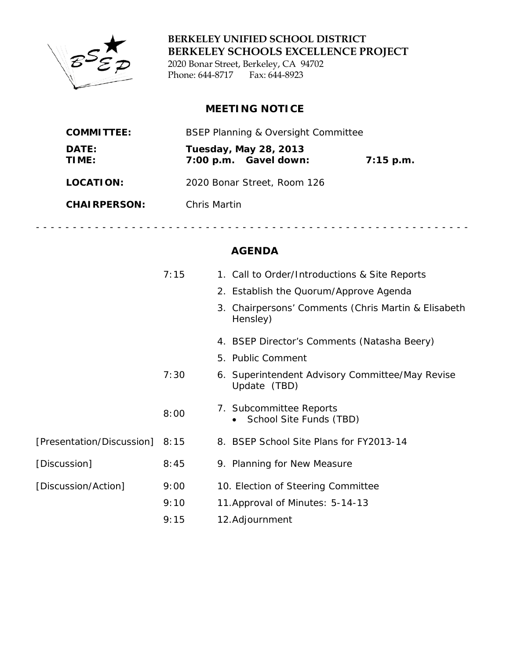

**BERKELEY UNIFIED SCHOOL DISTRICT BERKELEY SCHOOLS EXCELLENCE PROJECT** 2020 Bonar Street, Berkeley, CA 94702 Phone: 644-8717 Fax: 644-8923

# **MEETING NOTICE**

| <b>COMMITTEE:</b>   | <b>BSEP Planning &amp; Oversight Committee</b>        |             |
|---------------------|-------------------------------------------------------|-------------|
| DATE:<br>TIME:      | <b>Tuesday, May 28, 2013</b><br>7:00 p.m. Gavel down: | $7:15$ p.m. |
| LOCATION:           | 2020 Bonar Street, Room 126                           |             |
| <b>CHAIRPERSON:</b> | Chris Martin                                          |             |

# **AGENDA**

- - - - - - - - - - - - - - - - - - - - - - - - - - - - - - - - - - - - - - - - - - - - - - - - - - - - - - - - - - -

|                                | 7:15 | 1. Call to Order/Introductions & Site Reports                   |
|--------------------------------|------|-----------------------------------------------------------------|
|                                |      | 2. Establish the Quorum/Approve Agenda                          |
|                                |      | 3. Chairpersons' Comments (Chris Martin & Elisabeth<br>Hensley) |
|                                |      | 4. BSEP Director's Comments (Natasha Beery)                     |
|                                |      | 5. Public Comment                                               |
|                                | 7:30 | 6. Superintendent Advisory Committee/May Revise<br>Update (TBD) |
|                                | 8:00 | 7. Subcommittee Reports<br>School Site Funds (TBD)              |
| [Presentation/Discussion] 8:15 |      | 8. BSEP School Site Plans for FY2013-14                         |
| [Discussion]                   | 8:45 | 9. Planning for New Measure                                     |
| [Discussion/Action]            | 9:00 | 10. Election of Steering Committee                              |
|                                | 9:10 | 11. Approval of Minutes: 5-14-13                                |
|                                | 9:15 | 12. Adjournment                                                 |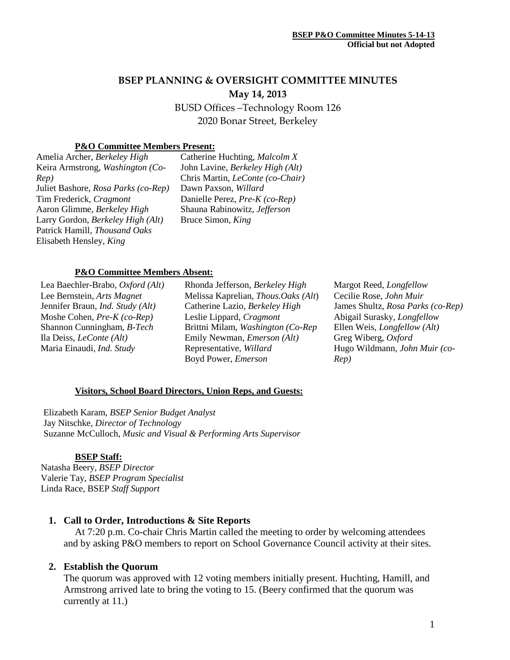# **BSEP PLANNING & OVERSIGHT COMMITTEE MINUTES May 14, 2013**

BUSD Offices –Technology Room 126 2020 Bonar Street, Berkeley

# **P&O Committee Members Present:**

Amelia Archer, *Berkeley High* Keira Armstrong, *Washington (Co-Rep)* Juliet Bashore, *Rosa Parks (co-Rep)* Tim Frederick, *Cragmont* Aaron Glimme, *Berkeley High* Larry Gordon, *Berkeley High (Alt)* Patrick Hamill, *Thousand Oaks* Elisabeth Hensley*, King*

Catherine Huchting, *Malcolm X* John Lavine, *Berkeley High (Alt)* Chris Martin, *LeConte (co-Chair)* Dawn Paxson, *Willard* Danielle Perez, *Pre-K (co-Rep)* Shauna Rabinowitz, *Jefferson* Bruce Simon, *King*

#### **P&O Committee Members Absent:**

Lea Baechler-Brabo, *Oxford (Alt)* Lee Bernstein, *Arts Magnet* Jennifer Braun, *Ind. Study (Alt)* Moshe Cohen, *Pre-K (co-Rep)* Shannon Cunningham, *B-Tech* Ila Deiss, *LeConte (Alt)* Maria Einaudi, *Ind. Study*

Rhonda Jefferson, *Berkeley High* Melissa Kaprelian, *Thous.Oaks (Alt*) Catherine Lazio, *Berkeley High* Leslie Lippard, *Cragmont* Brittni Milam, *Washington (Co-Rep* Emily Newman, *Emerson (Alt)* Representative, *Willard* Boyd Power, *Emerson*

Margot Reed, *Longfellow* Cecilie Rose, *John Muir* James Shultz, *Rosa Parks (co-Rep)* Abigail Surasky, *Longfellow* Ellen Weis, *Longfellow (Alt)* Greg Wiberg, *Oxford* Hugo Wildmann*, John Muir (co-Rep)*

#### **Visitors, School Board Directors, Union Reps, and Guests:**

Elizabeth Karam, *BSEP Senior Budget Analyst*  Jay Nitschke, *Director of Technology* Suzanne McCulloch, *Music and Visual & Performing Arts Supervisor*

#### **BSEP Staff:**

 Natasha Beery, *BSEP Director* Valerie Tay, *BSEP Program Specialist* Linda Race, BSEP *Staff Support*

### **1. Call to Order, Introductions & Site Reports**

At 7:20 p.m. Co-chair Chris Martin called the meeting to order by welcoming attendees and by asking P&O members to report on School Governance Council activity at their sites.

### **2. Establish the Quorum**

The quorum was approved with 12 voting members initially present. Huchting, Hamill, and Armstrong arrived late to bring the voting to 15. (Beery confirmed that the quorum was currently at 11.)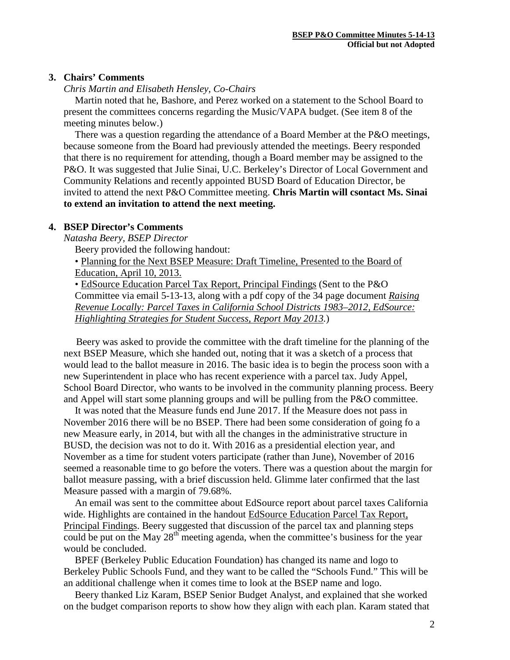#### **3. Chairs' Comments**

*Chris Martin and Elisabeth Hensley, Co-Chairs*

Martin noted that he, Bashore, and Perez worked on a statement to the School Board to present the committees concerns regarding the Music/VAPA budget. (See item 8 of the meeting minutes below.)

There was a question regarding the attendance of a Board Member at the P&O meetings, because someone from the Board had previously attended the meetings. Beery responded that there is no requirement for attending, though a Board member may be assigned to the P&O. It was suggested that Julie Sinai, U.C. Berkeley's Director of Local Government and Community Relations and recently appointed BUSD Board of Education Director, be invited to attend the next P&O Committee meeting. **Chris Martin will csontact Ms. Sinai to extend an invitation to attend the next meeting.**

#### **4. BSEP Director's Comments**

*Natasha Beery, BSEP Director*

Beery provided the following handout:

• Planning for the Next BSEP Measure: Draft Timeline, Presented to the Board of Education, April 10, 2013.

• EdSource Education Parcel Tax Report, Principal Findings (Sent to the P&O Committee via email 5-13-13, along with a pdf copy of the 34 page document *Raising Revenue Locally: Parcel Taxes in California School Districts 1983–2012, EdSource: Highlighting Strategies for Student Success, Report May 2013.*)

 Beery was asked to provide the committee with the draft timeline for the planning of the next BSEP Measure, which she handed out, noting that it was a sketch of a process that would lead to the ballot measure in 2016. The basic idea is to begin the process soon with a new Superintendent in place who has recent experience with a parcel tax. Judy Appel, School Board Director, who wants to be involved in the community planning process. Beery and Appel will start some planning groups and will be pulling from the P&O committee.

It was noted that the Measure funds end June 2017. If the Measure does not pass in November 2016 there will be no BSEP. There had been some consideration of going fo a new Measure early, in 2014, but with all the changes in the administrative structure in BUSD, the decision was not to do it. With 2016 as a presidential election year, and November as a time for student voters participate (rather than June), November of 2016 seemed a reasonable time to go before the voters. There was a question about the margin for ballot measure passing, with a brief discussion held. Glimme later confirmed that the last Measure passed with a margin of 79.68%.

An email was sent to the committee about EdSource report about parcel taxes California wide. Highlights are contained in the handout EdSource Education Parcel Tax Report, Principal Findings. Beery suggested that discussion of the parcel tax and planning steps could be put on the May  $28<sup>th</sup>$  meeting agenda, when the committee's business for the year would be concluded.

BPEF (Berkeley Public Education Foundation) has changed its name and logo to Berkeley Public Schools Fund, and they want to be called the "Schools Fund." This will be an additional challenge when it comes time to look at the BSEP name and logo.

Beery thanked Liz Karam, BSEP Senior Budget Analyst, and explained that she worked on the budget comparison reports to show how they align with each plan. Karam stated that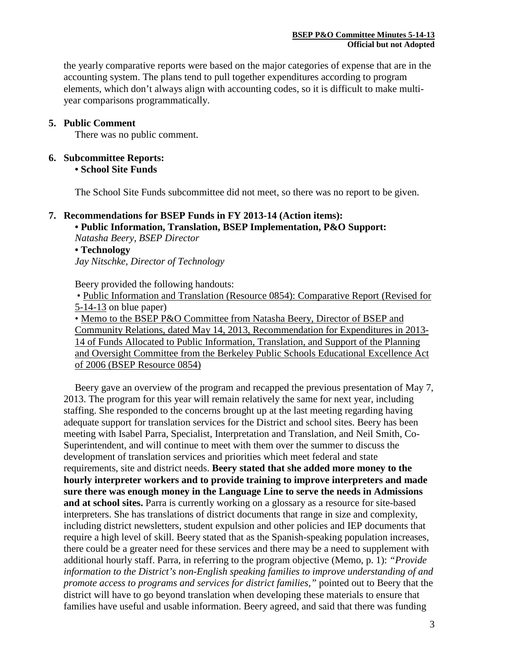the yearly comparative reports were based on the major categories of expense that are in the accounting system. The plans tend to pull together expenditures according to program elements, which don't always align with accounting codes, so it is difficult to make multiyear comparisons programmatically.

# **5. Public Comment**

There was no public comment.

# **6. Subcommittee Reports:**

**• School Site Funds**

The School Site Funds subcommittee did not meet, so there was no report to be given.

### **7. Recommendations for BSEP Funds in FY 2013-14 (Action items):**

**• Public Information, Translation, BSEP Implementation, P&O Support:**  *Natasha Beery, BSEP Director*

**• Technology**

*Jay Nitschke, Director of Technology*

Beery provided the following handouts:

• Public Information and Translation (Resource 0854): Comparative Report (Revised for 5-14-13 on blue paper)

• Memo to the BSEP P&O Committee from Natasha Beery, Director of BSEP and Community Relations, dated May 14, 2013, Recommendation for Expenditures in 2013- 14 of Funds Allocated to Public Information, Translation, and Support of the Planning and Oversight Committee from the Berkeley Public Schools Educational Excellence Act of 2006 (BSEP Resource 0854)

Beery gave an overview of the program and recapped the previous presentation of May 7, 2013. The program for this year will remain relatively the same for next year, including staffing. She responded to the concerns brought up at the last meeting regarding having adequate support for translation services for the District and school sites. Beery has been meeting with Isabel Parra, Specialist, Interpretation and Translation, and Neil Smith, Co-Superintendent, and will continue to meet with them over the summer to discuss the development of translation services and priorities which meet federal and state requirements, site and district needs. **Beery stated that she added more money to the hourly interpreter workers and to provide training to improve interpreters and made sure there was enough money in the Language Line to serve the needs in Admissions and at school sites.** Parra is currently working on a glossary as a resource for site-based interpreters. She has translations of district documents that range in size and complexity, including district newsletters, student expulsion and other policies and IEP documents that require a high level of skill. Beery stated that as the Spanish-speaking population increases, there could be a greater need for these services and there may be a need to supplement with additional hourly staff. Parra, in referring to the program objective (Memo, p. 1): *"Provide information to the District's non-English speaking families to improve understanding of and promote access to programs and services for district families,"* pointed out to Beery that the district will have to go beyond translation when developing these materials to ensure that families have useful and usable information. Beery agreed, and said that there was funding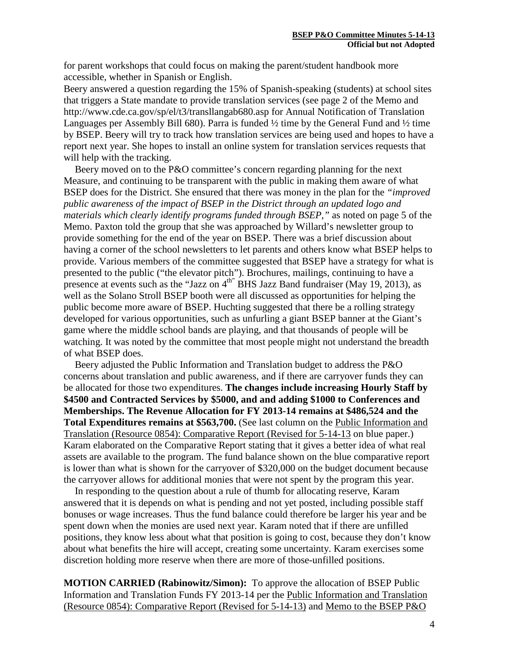for parent workshops that could focus on making the parent/student handbook more accessible, whether in Spanish or English.

Beery answered a question regarding the 15% of Spanish-speaking (students) at school sites that triggers a State mandate to provide translation services (see page 2 of the Memo and <http://www.cde.ca.gov/sp/el/t3/transllangab680.asp> for Annual Notification of Translation Languages per Assembly Bill 680). Parra is funded ½ time by the General Fund and ½ time by BSEP. Beery will try to track how translation services are being used and hopes to have a report next year. She hopes to install an online system for translation services requests that will help with the tracking.

Beery moved on to the P&O committee's concern regarding planning for the next Measure, and continuing to be transparent with the public in making them aware of what BSEP does for the District. She ensured that there was money in the plan for the *"improved public awareness of the impact of BSEP in the District through an updated logo and materials which clearly identify programs funded through BSEP,"* as noted on page 5 of the Memo. Paxton told the group that she was approached by Willard's newsletter group to provide something for the end of the year on BSEP. There was a brief discussion about having a corner of the school newsletters to let parents and others know what BSEP helps to provide. Various members of the committee suggested that BSEP have a strategy for what is presented to the public ("the elevator pitch"). Brochures, mailings, continuing to have a presence at events such as the "Jazz on  $4<sup>th</sup>$ " BHS Jazz Band fundraiser (May 19, 2013), as well as the Solano Stroll BSEP booth were all discussed as opportunities for helping the public become more aware of BSEP. Huchting suggested that there be a rolling strategy developed for various opportunities, such as unfurling a giant BSEP banner at the Giant's game where the middle school bands are playing, and that thousands of people will be watching. It was noted by the committee that most people might not understand the breadth of what BSEP does.

Beery adjusted the Public Information and Translation budget to address the P&O concerns about translation and public awareness, and if there are carryover funds they can be allocated for those two expenditures. **The changes include increasing Hourly Staff by \$4500 and Contracted Services by \$5000, and and adding \$1000 to Conferences and Memberships. The Revenue Allocation for FY 2013-14 remains at \$486,524 and the Total Expenditures remains at \$563,700.** (See last column on the Public Information and Translation (Resource 0854): Comparative Report (Revised for 5-14-13 on blue paper.) Karam elaborated on the Comparative Report stating that it gives a better idea of what real assets are available to the program. The fund balance shown on the blue comparative report is lower than what is shown for the carryover of \$320,000 on the budget document because the carryover allows for additional monies that were not spent by the program this year.

In responding to the question about a rule of thumb for allocating reserve, Karam answered that it is depends on what is pending and not yet posted, including possible staff bonuses or wage increases. Thus the fund balance could therefore be larger his year and be spent down when the monies are used next year. Karam noted that if there are unfilled positions, they know less about what that position is going to cost, because they don't know about what benefits the hire will accept, creating some uncertainty. Karam exercises some discretion holding more reserve when there are more of those-unfilled positions.

**MOTION CARRIED (Rabinowitz/Simon):** To approve the allocation of BSEP Public Information and Translation Funds FY 2013-14 per the Public Information and Translation (Resource 0854): Comparative Report (Revised for 5-14-13) and Memo to the BSEP P&O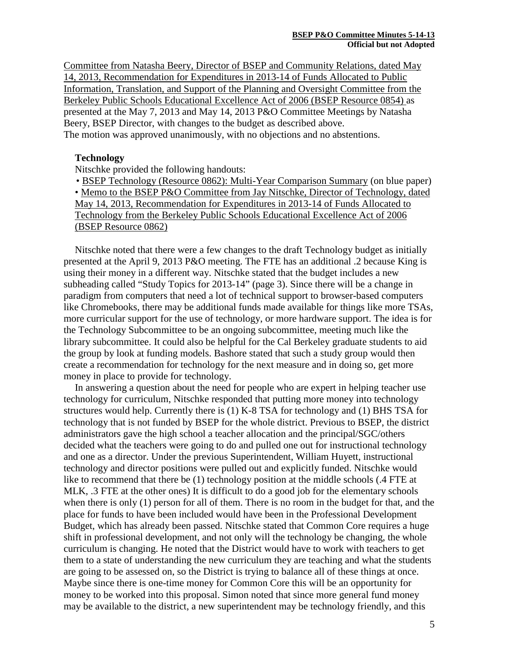Committee from Natasha Beery, Director of BSEP and Community Relations, dated May 14, 2013, Recommendation for Expenditures in 2013-14 of Funds Allocated to Public Information, Translation, and Support of the Planning and Oversight Committee from the Berkeley Public Schools Educational Excellence Act of 2006 (BSEP Resource 0854) as presented at the May 7, 2013 and May 14, 2013 P&O Committee Meetings by Natasha Beery, BSEP Director, with changes to the budget as described above. The motion was approved unanimously, with no objections and no abstentions.

#### **Technology**

Nitschke provided the following handouts:

• BSEP Technology (Resource 0862): Multi-Year Comparison Summary (on blue paper) • Memo to the BSEP P&O Committee from Jay Nitschke, Director of Technology, dated May 14, 2013, Recommendation for Expenditures in 2013-14 of Funds Allocated to Technology from the Berkeley Public Schools Educational Excellence Act of 2006 (BSEP Resource 0862)

Nitschke noted that there were a few changes to the draft Technology budget as initially presented at the April 9, 2013 P&O meeting. The FTE has an additional .2 because King is using their money in a different way. Nitschke stated that the budget includes a new subheading called "Study Topics for 2013-14" (page 3). Since there will be a change in paradigm from computers that need a lot of technical support to browser-based computers like Chromebooks, there may be additional funds made available for things like more TSAs, more curricular support for the use of technology, or more hardware support. The idea is for the Technology Subcommittee to be an ongoing subcommittee, meeting much like the library subcommittee. It could also be helpful for the Cal Berkeley graduate students to aid the group by look at funding models. Bashore stated that such a study group would then create a recommendation for technology for the next measure and in doing so, get more money in place to provide for technology.

In answering a question about the need for people who are expert in helping teacher use technology for curriculum, Nitschke responded that putting more money into technology structures would help. Currently there is (1) K-8 TSA for technology and (1) BHS TSA for technology that is not funded by BSEP for the whole district. Previous to BSEP, the district administrators gave the high school a teacher allocation and the principal/SGC/others decided what the teachers were going to do and pulled one out for instructional technology and one as a director. Under the previous Superintendent, William Huyett, instructional technology and director positions were pulled out and explicitly funded. Nitschke would like to recommend that there be (1) technology position at the middle schools (.4 FTE at MLK, .3 FTE at the other ones) It is difficult to do a good job for the elementary schools when there is only (1) person for all of them. There is no room in the budget for that, and the place for funds to have been included would have been in the Professional Development Budget, which has already been passed. Nitschke stated that Common Core requires a huge shift in professional development, and not only will the technology be changing, the whole curriculum is changing. He noted that the District would have to work with teachers to get them to a state of understanding the new curriculum they are teaching and what the students are going to be assessed on, so the District is trying to balance all of these things at once. Maybe since there is one-time money for Common Core this will be an opportunity for money to be worked into this proposal. Simon noted that since more general fund money may be available to the district, a new superintendent may be technology friendly, and this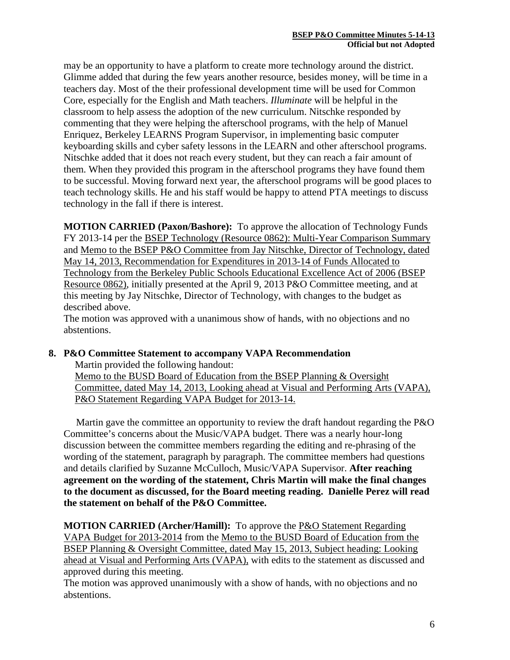may be an opportunity to have a platform to create more technology around the district. Glimme added that during the few years another resource, besides money, will be time in a teachers day. Most of the their professional development time will be used for Common Core, especially for the English and Math teachers. *Illuminate* will be helpful in the classroom to help assess the adoption of the new curriculum. Nitschke responded by commenting that they were helping the afterschool programs, with the help of Manuel Enriquez, Berkeley LEARNS Program Supervisor, in implementing basic computer keyboarding skills and cyber safety lessons in the LEARN and other afterschool programs. Nitschke added that it does not reach every student, but they can reach a fair amount of them. When they provided this program in the afterschool programs they have found them to be successful. Moving forward next year, the afterschool programs will be good places to teach technology skills. He and his staff would be happy to attend PTA meetings to discuss technology in the fall if there is interest.

**MOTION CARRIED (Paxon/Bashore):** To approve the allocation of Technology Funds FY 2013-14 per the BSEP Technology (Resource 0862): Multi-Year Comparison Summary and Memo to the BSEP P&O Committee from Jay Nitschke, Director of Technology, dated May 14, 2013, Recommendation for Expenditures in 2013-14 of Funds Allocated to Technology from the Berkeley Public Schools Educational Excellence Act of 2006 (BSEP Resource 0862), initially presented at the April 9, 2013 P&O Committee meeting, and at this meeting by Jay Nitschke, Director of Technology, with changes to the budget as described above.

The motion was approved with a unanimous show of hands, with no objections and no abstentions.

### **8. P&O Committee Statement to accompany VAPA Recommendation**

Martin provided the following handout: Memo to the BUSD Board of Education from the BSEP Planning & Oversight Committee, dated May 14, 2013, Looking ahead at Visual and Performing Arts (VAPA), P&O Statement Regarding VAPA Budget for 2013-14.

 Martin gave the committee an opportunity to review the draft handout regarding the P&O Committee's concerns about the Music/VAPA budget. There was a nearly hour-long discussion between the committee members regarding the editing and re-phrasing of the wording of the statement, paragraph by paragraph. The committee members had questions and details clarified by Suzanne McCulloch, Music/VAPA Supervisor. **After reaching agreement on the wording of the statement, Chris Martin will make the final changes to the document as discussed, for the Board meeting reading. Danielle Perez will read the statement on behalf of the P&O Committee.**

**MOTION CARRIED (Archer/Hamill):** To approve the P&O Statement Regarding VAPA Budget for 2013-2014 from the Memo to the BUSD Board of Education from the BSEP Planning & Oversight Committee, dated May 15, 2013, Subject heading: Looking ahead at Visual and Performing Arts (VAPA), with edits to the statement as discussed and approved during this meeting.

The motion was approved unanimously with a show of hands, with no objections and no abstentions.